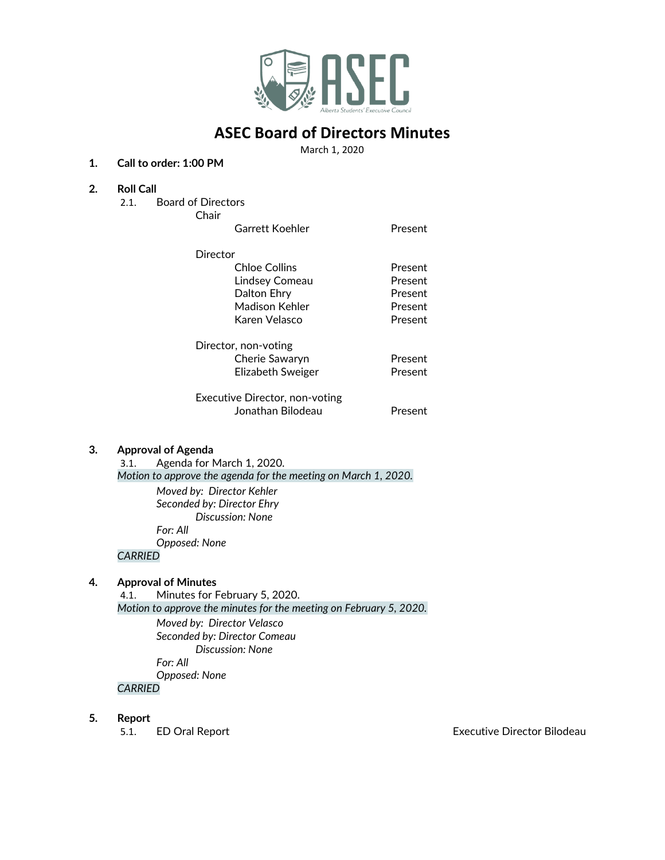

# **ASEC Board of Directors Minutes**

March 1, 2020

## **1. Call to order: 1:00 PM**

#### **2. Roll Call**

- 2.1. Board of Directors
	- Chair
		- Garrett Koehler **Present**
		- **Director** Chloe Collins **Present** Lindsey Comeau Present Dalton Ehry **Present** Madison Kehler **Present** Karen Velasco Present Director, non-voting Cherie Sawaryn Present
			- Elizabeth Sweiger Present
		- Executive Director, non-voting Jonathan Bilodeau Present

### **3. Approval of Agenda**

3.1. Agenda for March 1, 2020.

*Motion to approve the agenda for the meeting on March 1, 2020.*

*Moved by: Director Kehler Seconded by: Director Ehry Discussion: None For: All*

*Opposed: None*

# *CARRIED*

### **4. Approval of Minutes**

4.1. Minutes for February 5, 2020.

*Motion to approve the minutes for the meeting on February 5, 2020.*

*Moved by: Director Velasco Seconded by: Director Comeau Discussion: None For: All*

*Opposed: None CARRIED* 

#### **5. Report**

5.1. ED Oral Report **Executive Director Bilodeau**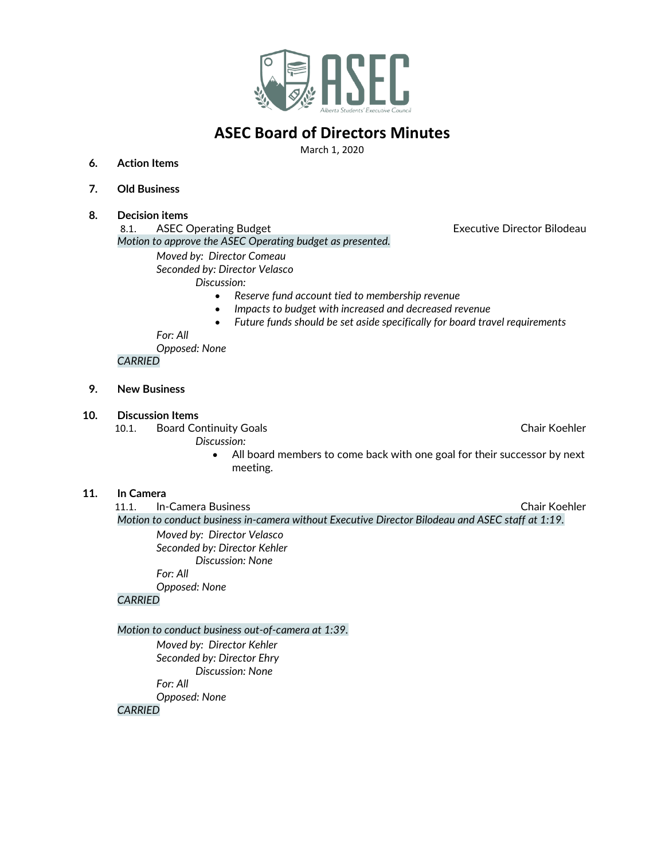

# **ASEC Board of Directors Minutes**

March 1, 2020

- **6. Action Items**
- **7. Old Business**

#### **8. Decision items**

8.1. ASEC Operating Budget **Executive Director Bilodeau** *Motion to approve the ASEC Operating budget as presented.*

*Moved by: Director Comeau Seconded by: Director Velasco Discussion:* 

- *Reserve fund account tied to membership revenue*
- *Impacts to budget with increased and decreased revenue*
- *Future funds should be set aside specifically for board travel requirements*

#### *For: All*

*Opposed: None*

#### *CARRIED*

#### **9. New Business**

#### **10. Discussion Items**

10.1. Board Continuity Goals **Chair Koehler** Chair Koehler

*Discussion:* 

• All board members to come back with one goal for their successor by next meeting.

#### **11. In Camera**

11.1. In-Camera Business Chair Koehler

*Motion to conduct business in-camera without Executive Director Bilodeau and ASEC staff at 1:19.*

*Moved by: Director Velasco Seconded by: Director Kehler Discussion: None For: All*

*Opposed: None*

# *CARRIED*

*Motion to conduct business out-of-camera at 1:39.*

*Moved by: Director Kehler Seconded by: Director Ehry Discussion: None For: All Opposed: None CARRIED*